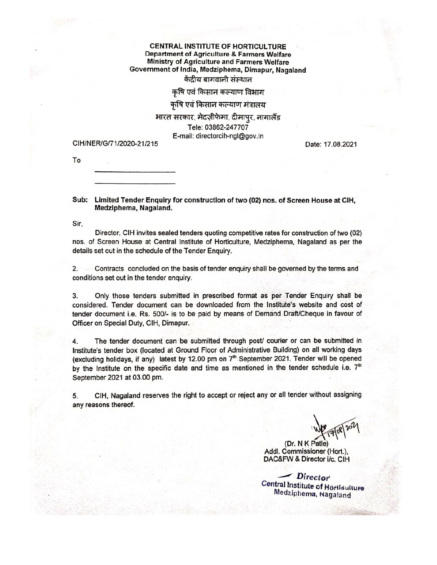#### **CENTRAL INSTITUTE OF HORTICULTURE Department of Agriculture & Farmers Welfare** Ministry of Agriculture and Farmers Welfare Government of India, Medziphema, Dimapur, Nagaland केंद्रीय बागवानी संस्थान

#### कषि एवं किसान कल्याण विभाग

#### कृषि एवं किसान कल्याण मंत्रालय

#### भारत सरकार, मेदज़ीफेमा, दीमापुर, नागालैंड

Tele: 03862-247707 E-mail: directorcih-ngl@gov.in

#### CIH/NER/G/71/2020-21/215

Date: 17.08.2021

To

#### Sub: Limited Tender Enquiry for construction of two (02) nos. of Screen House at CIH. Medziphema, Nagaland.

Sir,

Director, CIH invites sealed tenders quoting competitive rates for construction of two (02) nos. of Screen House at Central Institute of Horticulture, Medziphema, Nagaland as per the details set out in the schedule of the Tender Enquiry.

Contracts concluded on the basis of tender enquiry shall be governed by the terms and  $2.$ conditions set out in the tender enquiry.

Only those tenders submitted in prescribed format as per Tender Enquiry shall be 3. considered. Tender document can be downloaded from the Institute's website and cost of tender document i.e. Rs. 500/- is to be paid by means of Demand Draft/Cheque in favour of Officer on Special Duty, CIH, Dimapur.

The tender document can be submitted through post/ courier or can be submitted in 4. Institute's tender box (located at Ground Floor of Administrative Building) on all working days (excluding holidays, if any) latest by 12.00 pm on 7<sup>th</sup> September 2021. Tender will be opened by the Institute on the specific date and time as mentioned in the tender schedule i.e.  $7<sup>th</sup>$ September 2021 at 03.00 pm.

CIH, Nagaland reserves the right to accept or reject any or all tender without assigning 5. any reasons thereof.

(Dr. N K Patle) Addl. Commissioner (Hort.), DAC&FW & Director i/c. CIH

Director **Central Institute of Hortlaulture** Medziphema, Nagaland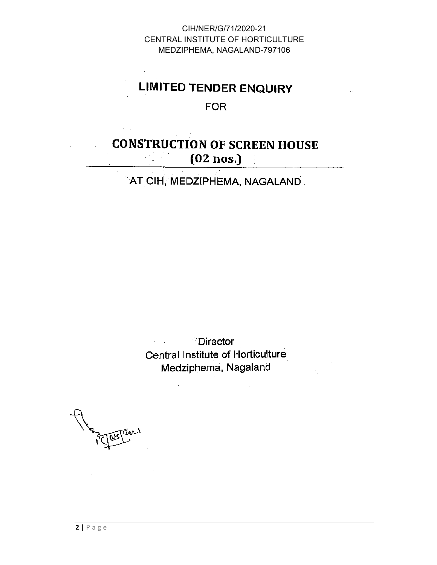# **LIMITED TENDER ENQUIRY**

# **FOR**

 $\mathcal{L}^{\text{max}}$ 

# **CONSTRUCTION OF SCREEN HOUSE**  $(02$  nos.)

AT CIH, MEDZIPHEMA, NAGALAND.

Director  $\mathcal{A}=\mathcal{A}+\mathcal{A}$ Central Institute of Horticulture Medziphema, Nagaland

 $\mathcal{L}^{\mathcal{L}}$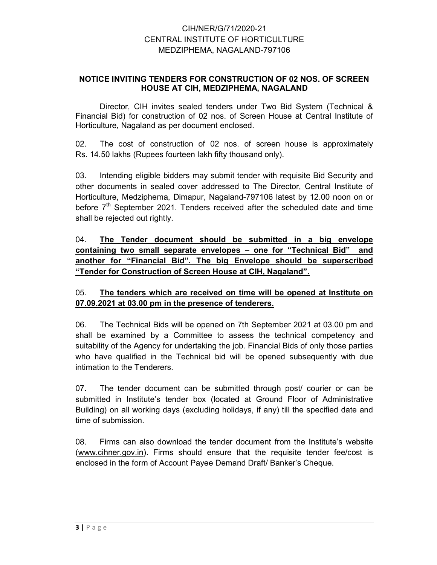#### NOTICE INVITING TENDERS FOR CONSTRUCTION OF 02 NOS. OF SCREEN HOUSE AT CIH, MEDZIPHEMA, NAGALAND

Director, CIH invites sealed tenders under Two Bid System (Technical & Financial Bid) for construction of 02 nos. of Screen House at Central Institute of Horticulture, Nagaland as per document enclosed.

02. The cost of construction of 02 nos. of screen house is approximately Rs. 14.50 lakhs (Rupees fourteen lakh fifty thousand only).

03. Intending eligible bidders may submit tender with requisite Bid Security and other documents in sealed cover addressed to The Director, Central Institute of Horticulture, Medziphema, Dimapur, Nagaland-797106 latest by 12.00 noon on or before  $7<sup>th</sup>$  September 2021. Tenders received after the scheduled date and time shall be rejected out rightly.

04. The Tender document should be submitted in a big envelope containing two small separate envelopes – one for "Technical Bid" and another for "Financial Bid". The big Envelope should be superscribed "Tender for Construction of Screen House at CIH, Nagaland".

#### 05. The tenders which are received on time will be opened at Institute on 07.09.2021 at 03.00 pm in the presence of tenderers.

06. The Technical Bids will be opened on 7th September 2021 at 03.00 pm and shall be examined by a Committee to assess the technical competency and suitability of the Agency for undertaking the job. Financial Bids of only those parties who have qualified in the Technical bid will be opened subsequently with due intimation to the Tenderers.

07. The tender document can be submitted through post/ courier or can be submitted in Institute's tender box (located at Ground Floor of Administrative Building) on all working days (excluding holidays, if any) till the specified date and time of submission.

08. Firms can also download the tender document from the Institute's website (www.cihner.gov.in). Firms should ensure that the requisite tender fee/cost is enclosed in the form of Account Payee Demand Draft/ Banker's Cheque.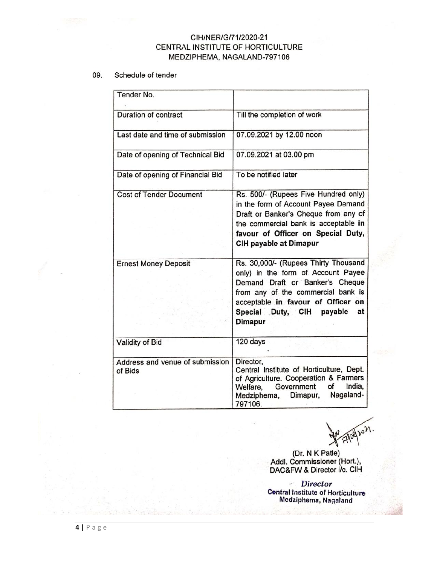#### 09. Schedule of tender

| Tender No.                                 |                                                                                                                                                                                                                                                |
|--------------------------------------------|------------------------------------------------------------------------------------------------------------------------------------------------------------------------------------------------------------------------------------------------|
| <b>Duration of contract</b>                | Till the completion of work                                                                                                                                                                                                                    |
| Last date and time of submission           | 07.09.2021 by 12.00 noon                                                                                                                                                                                                                       |
| Date of opening of Technical Bid           | 07.09.2021 at 03.00 pm                                                                                                                                                                                                                         |
| Date of opening of Financial Bid           | To be notified later                                                                                                                                                                                                                           |
| <b>Cost of Tender Document</b>             | Rs. 500/- (Rupees Five Hundred only)<br>in the form of Account Payee Demand<br>Draft or Banker's Cheque from any of<br>the commercial bank is acceptable in<br>favour of Officer on Special Duty,<br>CIH payable at Dimapur                    |
| <b>Ernest Money Deposit</b>                | Rs. 30,000/- (Rupees Thirty Thousand<br>only) in the form of Account Payee<br>Demand Draft or Banker's Cheque<br>from any of the commercial bank is<br>acceptable in favour of Officer on<br>Special Duty, CIH payable<br>at<br><b>Dimapur</b> |
| Validity of Bid                            | 120 days                                                                                                                                                                                                                                       |
| Address and venue of submission<br>of Bids | Director,<br>Central Institute of Horticulture, Dept.<br>of Agriculture. Cooperation & Farmers<br>India,<br>Government<br>of<br>Welfare,<br>Nagaland-<br>Dimapur,<br>Medziphema,<br>797106.                                                    |

Maples.

(Dr. N K Patle)<br>Addl. Commissioner (Hort.),<br>DAC&FW & Director i/c. CIH

- Director **Central Institute of Horticulture**<br>Medziphema, Nagaland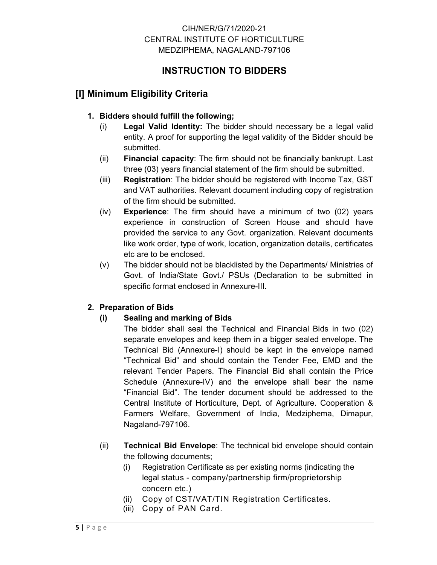# INSTRUCTION TO BIDDERS

# [I] Minimum Eligibility Criteria

### 1. Bidders should fulfill the following;

- (i) Legal Valid Identity: The bidder should necessary be a legal valid entity. A proof for supporting the legal validity of the Bidder should be submitted.
- (ii) Financial capacity: The firm should not be financially bankrupt. Last three (03) years financial statement of the firm should be submitted.
- (iii) Registration: The bidder should be registered with Income Tax, GST and VAT authorities. Relevant document including copy of registration of the firm should be submitted.
- (iv) Experience: The firm should have a minimum of two (02) years experience in construction of Screen House and should have provided the service to any Govt. organization. Relevant documents like work order, type of work, location, organization details, certificates etc are to be enclosed.
- (v) The bidder should not be blacklisted by the Departments/ Ministries of Govt. of India/State Govt./ PSUs (Declaration to be submitted in specific format enclosed in Annexure-III.

#### 2. Preparation of Bids

## (i) Sealing and marking of Bids

- The bidder shall seal the Technical and Financial Bids in two (02) separate envelopes and keep them in a bigger sealed envelope. The Technical Bid (Annexure-I) should be kept in the envelope named "Technical Bid" and should contain the Tender Fee, EMD and the relevant Tender Papers. The Financial Bid shall contain the Price Schedule (Annexure-IV) and the envelope shall bear the name "Financial Bid". The tender document should be addressed to the Central Institute of Horticulture, Dept. of Agriculture. Cooperation & Farmers Welfare, Government of India, Medziphema, Dimapur, Nagaland-797106.
- (ii) Technical Bid Envelope: The technical bid envelope should contain the following documents;
	- (i) Registration Certificate as per existing norms (indicating the legal status - company/partnership firm/proprietorship concern etc.)
	- (ii) Copy of CST/VAT/TIN Registration Certificates.
	- (iii) Copy of PAN Card.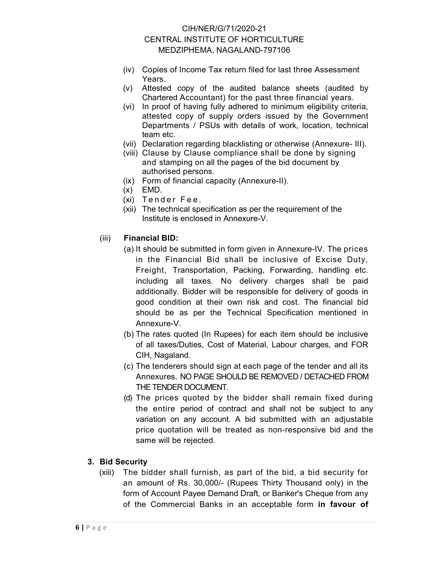- (iv) Copies of Income Tax return filed for last three Assessment Years.
- (v) Attested copy of the audited balance sheets (audited by Chartered Accountant) for the past three financial years.
- (vi) In proof of having fully adhered to minimum eligibility criteria, attested copy of supply orders issued by the Government Departments / PSUs with details of work, location, technical team etc.
- (vii) Declaration regarding blacklisting or otherwise (Annexure- III).
- (viii) Clause by Clause compliance shall be done by signing and stamping on all the pages of the bid document by authorised persons.
- (ix) Form of financial capacity (Annexure-II).
- (x) EMD.
- (xi) Tender Fee.
- (xii) The technical specification as per the requirement of the Institute is enclosed in Annexure-V.

#### (iii) Financial BID:

- (a) It should be submitted in form given in Annexure-IV. The prices in the Financial Bid shall be inclusive of Excise Duty, Freight, Transportation, Packing, Forwarding, handling etc. including all taxes. No delivery charges shall be paid additionally. Bidder will be responsible for delivery of goods in good condition at their own risk and cost. The financial bid should be as per the Technical Specification mentioned in Annexure-V.
- (b) The rates quoted (In Rupees) for each item should be inclusive of all taxes/Duties, Cost of Material, Labour charges, and FOR CIH, Nagaland.
- (c) The tenderers should sign at each page of the tender and all its Annexures. NO PAGE SHOULD BE REMOVED / DETACHED FROM THE TENDER DOCUMENT.
- (d) The prices quoted by the bidder shall remain fixed during the entire period of contract and shall not be subject to any variation on any account. A bid submitted with an adjustable price quotation will be treated as non-responsive bid and the same will be rejected.

#### 3. Bid Security

(xiii) The bidder shall furnish, as part of the bid, a bid security for an amount of Rs. 30,000/- (Rupees Thirty Thousand only) in the form of Account Payee Demand Draft, or Banker's Cheque from any of the Commercial Banks in an acceptable form in favour of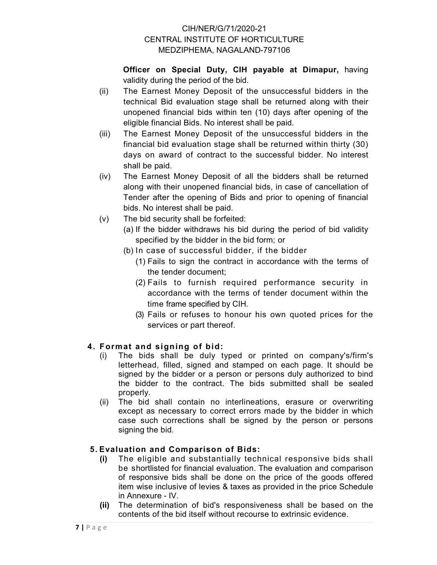Officer on Special Duty, CIH payable at Dimapur, having validity during the period of the bid.

- (ii) The Earnest Money Deposit of the unsuccessful bidders in the technical Bid evaluation stage shall be returned along with their unopened financial bids within ten (10) days after opening of the eligible financial Bids. No interest shall be paid.
- (iii) The Earnest Money Deposit of the unsuccessful bidders in the financial bid evaluation stage shall be returned within thirty (30) days on award of contract to the successful bidder. No interest shall be paid.
- (iv) The Earnest Money Deposit of all the bidders shall be returned along with their unopened financial bids, in case of cancellation of Tender after the opening of Bids and prior to opening of financial bids. No interest shall be paid.
- (v) The bid security shall be forfeited:
	- (a) If the bidder withdraws his bid during the period of bid validity specified by the bidder in the bid form; or
	- (b) In case of successful bidder, if the bidder
		- (1) Fails to sign the contract in accordance with the terms of the tender document;
		- (2) Fails to furnish required performance security in accordance with the terms of tender document within the time frame specified by CIH.
		- (3) Fails or refuses to honour his own quoted prices for the services or part thereof.

# 4. Format and signing of bid:

- (i) The bids shall be duly typed or printed on company's/firm's letterhead, filled, signed and stamped on each page. It should be signed by the bidder or a person or persons duly authorized to bind the bidder to the contract. The bids submitted shall be sealed properly.
- (ii) The bid shall contain no interlineations, erasure or overwriting except as necessary to correct errors made by the bidder in which case such corrections shall be signed by the person or persons signing the bid.

# 5. Evaluation and Comparison of Bids:

- (i) The eligible and substantially technical responsive bids shall be shortlisted for financial evaluation. The evaluation and comparison of responsive bids shall be done on the price of the goods offered item wise inclusive of levies & taxes as provided in the price Schedule in Annexure - IV.
- (ii) The determination of bid's responsiveness shall be based on the contents of the bid itself without recourse to extrinsic evidence.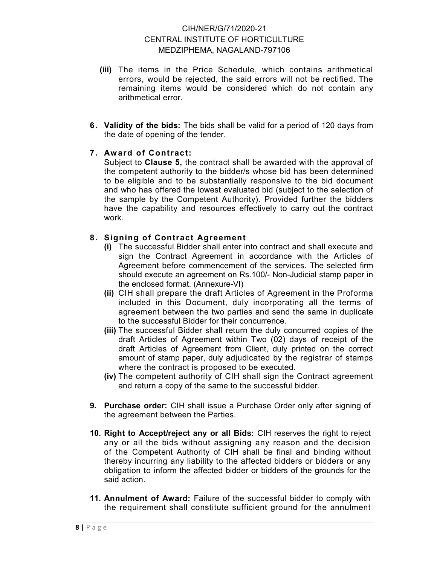- (iii) The items in the Price Schedule, which contains arithmetical errors, would be rejected, the said errors will not be rectified. The remaining items would be considered which do not contain any arithmetical error.
- 6. Validity of the bids: The bids shall be valid for a period of 120 days from the date of opening of the tender.

#### 7. Aw ard of Contract:

Subject to Clause 5, the contract shall be awarded with the approval of the competent authority to the bidder/s whose bid has been determined to be eligible and to be substantially responsive to the bid document and who has offered the lowest evaluated bid (subject to the selection of the sample by the Competent Authority). Provided further the bidders have the capability and resources effectively to carry out the contract work.

#### 8. Signing of Contract Agreement

- (i) The successful Bidder shall enter into contract and shall execute and sign the Contract Agreement in accordance with the Articles of Agreement before commencement of the services. The selected firm should execute an agreement on Rs.100/- Non-Judicial stamp paper in the enclosed format. (Annexure-VI)
- (ii) CIH shall prepare the draft Articles of Agreement in the Proforma included in this Document, duly incorporating all the terms of agreement between the two parties and send the same in duplicate to the successful Bidder for their concurrence.
- (iii) The successful Bidder shall return the duly concurred copies of the draft Articles of Agreement within Two (02) days of receipt of the draft Articles of Agreement from Client, duly printed on the correct amount of stamp paper, duly adjudicated by the registrar of stamps where the contract is proposed to be executed.
- (iv) The competent authority of CIH shall sign the Contract agreement and return a copy of the same to the successful bidder.
- 9. Purchase order: CIH shall issue a Purchase Order only after signing of the agreement between the Parties.
- 10. Right to Accept/reject any or all Bids: CIH reserves the right to reject any or all the bids without assigning any reason and the decision of the Competent Authority of CIH shall be final and binding without thereby incurring any liability to the affected bidders or bidders or any obligation to inform the affected bidder or bidders of the grounds for the said action.
- 11. Annulment of Award: Failure of the successful bidder to comply with the requirement shall constitute sufficient ground for the annulment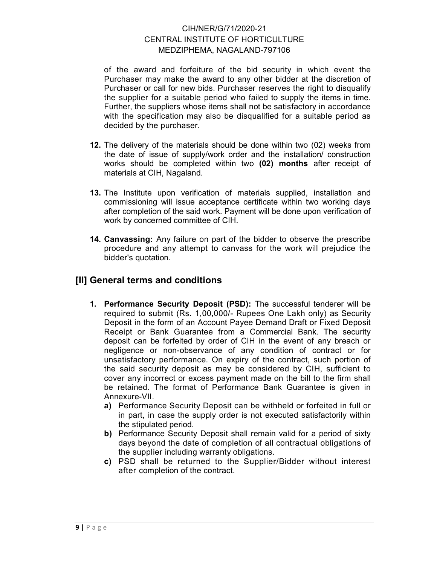of the award and forfeiture of the bid security in which event the Purchaser may make the award to any other bidder at the discretion of Purchaser or call for new bids. Purchaser reserves the right to disqualify the supplier for a suitable period who failed to supply the items in time. Further, the suppliers whose items shall not be satisfactory in accordance with the specification may also be disqualified for a suitable period as decided by the purchaser.

- 12. The delivery of the materials should be done within two (02) weeks from the date of issue of supply/work order and the installation/ construction works should be completed within two (02) months after receipt of materials at CIH, Nagaland.
- 13. The Institute upon verification of materials supplied, installation and commissioning will issue acceptance certificate within two working days after completion of the said work. Payment will be done upon verification of work by concerned committee of CIH.
- 14. Canvassing: Any failure on part of the bidder to observe the prescribe procedure and any attempt to canvass for the work will prejudice the bidder's quotation.

# [II] General terms and conditions

- 1. Performance Security Deposit (PSD): The successful tenderer will be required to submit (Rs. 1,00,000/- Rupees One Lakh only) as Security Deposit in the form of an Account Payee Demand Draft or Fixed Deposit Receipt or Bank Guarantee from a Commercial Bank. The security deposit can be forfeited by order of CIH in the event of any breach or negligence or non-observance of any condition of contract or for unsatisfactory performance. On expiry of the contract, such portion of the said security deposit as may be considered by CIH, sufficient to cover any incorrect or excess payment made on the bill to the firm shall be retained. The format of Performance Bank Guarantee is given in Annexure-VII.
	- a) Performance Security Deposit can be withheld or forfeited in full or in part, in case the supply order is not executed satisfactorily within the stipulated period.
	- b) Performance Security Deposit shall remain valid for a period of sixty days beyond the date of completion of all contractual obligations of the supplier including warranty obligations.
	- c) PSD shall be returned to the Supplier/Bidder without interest after completion of the contract.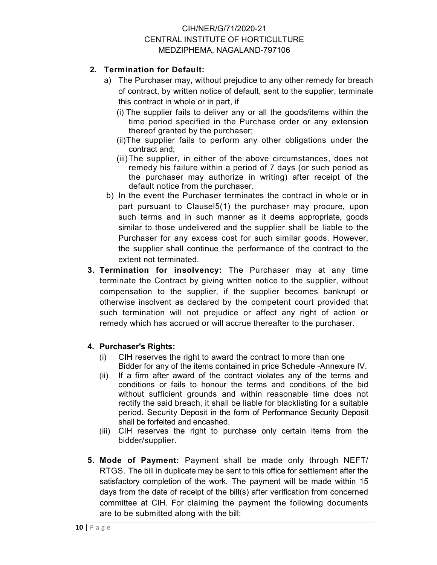#### 2. Termination for Default:

- a) The Purchaser may, without prejudice to any other remedy for breach of contract, by written notice of default, sent to the supplier, terminate this contract in whole or in part, if
	- (i) The supplier fails to deliver any or all the goods/items within the time period specified in the Purchase order or any extension thereof granted by the purchaser;
	- (ii) The supplier fails to perform any other obligations under the contract and;
	- (iii) The supplier, in either of the above circumstances, does not remedy his failure within a period of 7 days (or such period as the purchaser may authorize in writing) after receipt of the default notice from the purchaser.
- b) In the event the Purchaser terminates the contract in whole or in part pursuant to Clausel5(1) the purchaser may procure, upon such terms and in such manner as it deems appropriate, goods similar to those undelivered and the supplier shall be liable to the Purchaser for any excess cost for such similar goods. However, the supplier shall continue the performance of the contract to the extent not terminated.
- 3. Termination for insolvency: The Purchaser may at any time terminate the Contract by giving written notice to the supplier, without compensation to the supplier, if the supplier becomes bankrupt or otherwise insolvent as declared by the competent court provided that such termination will not prejudice or affect any right of action or remedy which has accrued or will accrue thereafter to the purchaser.

#### 4. Purchaser's Rights:

- (i) CIH reserves the right to award the contract to more than one Bidder for any of the items contained in price Schedule -Annexure IV.
- (ii) If a firm after award of the contract violates any of the terms and conditions or fails to honour the terms and conditions of the bid without sufficient grounds and within reasonable time does not rectify the said breach, it shall be liable for blacklisting for a suitable period. Security Deposit in the form of Performance Security Deposit shall be forfeited and encashed.
- (iii) CIH reserves the right to purchase only certain items from the bidder/supplier.
- 5. Mode of Payment: Payment shall be made only through NEFT/ RTGS. The bill in duplicate may be sent to this office for settlement after the satisfactory completion of the work. The payment will be made within 15 days from the date of receipt of the bill(s) after verification from concerned committee at CIH. For claiming the payment the following documents are to be submitted along with the bill: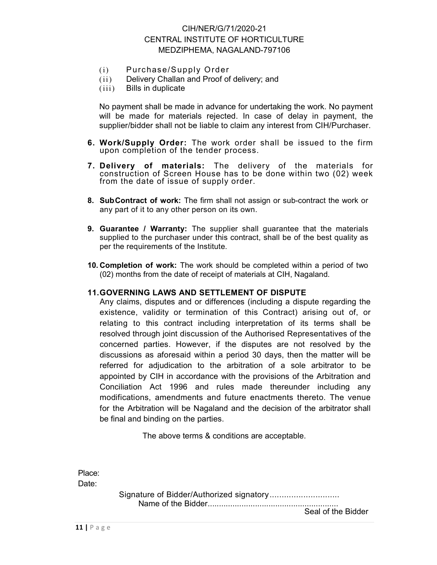- (i) Purchase/Supply Order
- (ii) Delivery Challan and Proof of delivery; and
- (iii) Bills in duplicate

No payment shall be made in advance for undertaking the work. No payment will be made for materials rejected. In case of delay in payment, the supplier/bidder shall not be liable to claim any interest from CIH/Purchaser.

- 6. Work/Supply Order: The work order shall be issued to the firm upon completion of the tender process.
- 7. Delivery of materials: The delivery of the materials for construction of Screen House has to be done within two (02) week from the date of issue of supply order.
- 8. SubContract of work: The firm shall not assign or sub-contract the work or any part of it to any other person on its own.
- 9. Guarantee / Warranty: The supplier shall quarantee that the materials supplied to the purchaser under this contract, shall be of the best quality as per the requirements of the Institute.
- 10. Completion of work: The work should be completed within a period of two (02) months from the date of receipt of materials at CIH, Nagaland.

#### 11. GOVERNING LAWS AND SETTLEMENT OF DISPUTE

Any claims, disputes and or differences (including a dispute regarding the existence, validity or termination of this Contract) arising out of, or relating to this contract including interpretation of its terms shall be resolved through joint discussion of the Authorised Representatives of the concerned parties. However, if the disputes are not resolved by the discussions as aforesaid within a period 30 days, then the matter will be referred for adjudication to the arbitration of a sole arbitrator to be appointed by CIH in accordance with the provisions of the Arbitration and Conciliation Act 1996 and rules made thereunder including any modifications, amendments and future enactments thereto. The venue for the Arbitration will be Nagaland and the decision of the arbitrator shall be final and binding on the parties.

The above terms & conditions are acceptable.

Place: Date:

> Signature of Bidder/Authorized signatory ............................. Name of the Bidder ..........................................................

11 | P a g e

Seal of the Bidder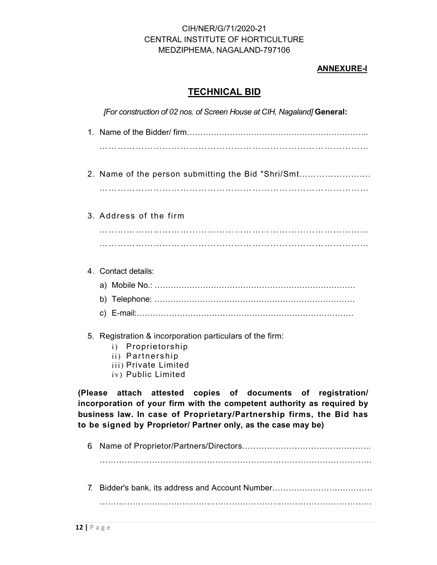#### ANNEXURE-I

### TECHNICAL BID

[For construction of 02 nos. of Screen House at CIH, Nagaland] General:

- 1. Name of the Bidder/ firm………………………………………………………….. ………………………………………………………………………………
- 2. Name of the person submitting the Bid "Shri/Smt…………………….

………………………………………………………………………………

#### 3. Address of the firm

……………………………………………………………………………… ………………………………………………………………………………

#### 4. Contact details:

a) Mobile No.: …………………………………………………………………

- b) Telephone: …………………………………………………………………
- c) E-mail:………………………………………………………………………

#### 5. Registration & incorporation particulars of the firm:

- i) Proprietorship
- ii) Partnership
- iii) Private Limited
- iv) Public Limited

(Please attach attested copies of documents of registration/ incorporation of your firm with the competent authority as required by business law. In case of Proprietary/Partnership firms, the Bid has to be signed by Proprietor/ Partner only, as the case may be)

6. Name of Proprietor/Partners/Directors………………………………………..

………………………………………………………………………………………

7. Bidder's bank, its address and Account Number……………………………….

………………………………………………………………………………………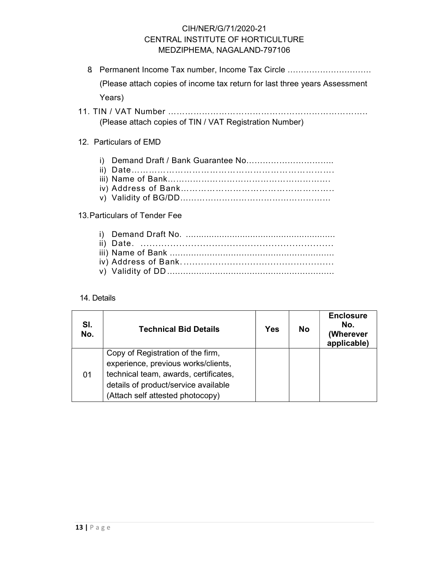- 8. Permanent Income Tax number, Income Tax Circle …………………………. (Please attach copies of income tax return for last three years Assessment Years)
- 11. TIN / VAT Number …………………………………………………………….. (Please attach copies of TIN / VAT Registration Number)

#### 12. Particulars of EMD

- i) Demand Draft / Bank Guarantee No…………………………..
- ii) Date…………………………………………………………….
- iii) Name of Bank…………………………………………………. iv) Address of Bank……………………………………………..
- v) Validity of BG/DD………………………………………………

#### 13. Particulars of Tender Fee

#### 14. Details

| SI.<br>No. | <b>Technical Bid Details</b>                                                                                                                                                                  | Yes | <b>No</b> | <b>Enclosure</b><br>No.<br>(Wherever<br>applicable) |
|------------|-----------------------------------------------------------------------------------------------------------------------------------------------------------------------------------------------|-----|-----------|-----------------------------------------------------|
| 01         | Copy of Registration of the firm,<br>experience, previous works/clients,<br>technical team, awards, certificates,<br>details of product/service available<br>(Attach self attested photocopy) |     |           |                                                     |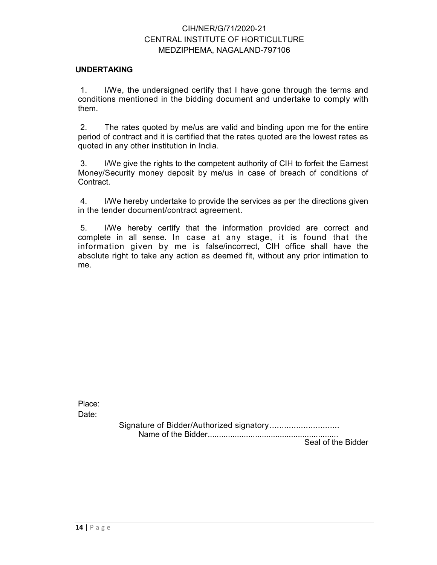#### UNDERTAKING

1. I/We, the undersigned certify that I have gone through the terms and conditions mentioned in the bidding document and undertake to comply with them.

2. The rates quoted by me/us are valid and binding upon me for the entire period of contract and it is certified that the rates quoted are the lowest rates as quoted in any other institution in India.

3. I/We give the rights to the competent authority of CIH to forfeit the Earnest Money/Security money deposit by me/us in case of breach of conditions of Contract.

4. I/We hereby undertake to provide the services as per the directions given in the tender document/contract agreement.

5. I/We hereby certify that the information provided are correct and complete in all sense. In case at any stage, it is found that the information given by me is false/incorrect, CIH office shall have the absolute right to take any action as deemed fit, without any prior intimation to me.

Place: Date:

> Signature of Bidder/Authorized signatory ............................. Name of the Bidder ..........................................................

Seal of the Bidder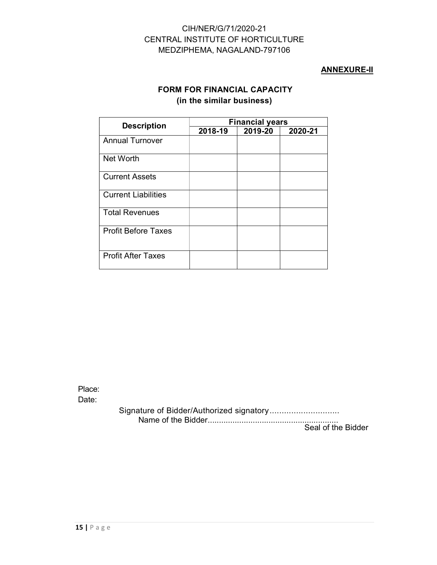#### ANNEXURE-II

#### FORM FOR FINANCIAL CAPACITY (in the similar business)

| <b>Description</b>         | <b>Financial years</b> |         |         |  |  |
|----------------------------|------------------------|---------|---------|--|--|
|                            | 2018-19                | 2019-20 | 2020-21 |  |  |
| <b>Annual Turnover</b>     |                        |         |         |  |  |
| <b>Net Worth</b>           |                        |         |         |  |  |
| <b>Current Assets</b>      |                        |         |         |  |  |
| <b>Current Liabilities</b> |                        |         |         |  |  |
| <b>Total Revenues</b>      |                        |         |         |  |  |
| <b>Profit Before Taxes</b> |                        |         |         |  |  |
| <b>Profit After Taxes</b>  |                        |         |         |  |  |

Place: Date:

> Signature of Bidder/Authorized signatory ............................. Name of the Bidder .......................................................... Seal of the Bidder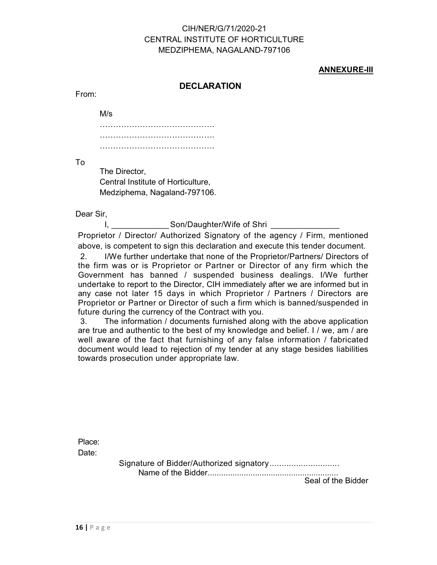#### ANNEXURE-III

#### **DECLARATION**

From:

M/s

………………………………………………… ……………………………………. …………………………………………………

To

The Director, Central Institute of Horticulture, Medziphema, Nagaland-797106.

Dear Sir,

I, Son/Daughter/Wife of Shri Proprietor / Director/ Authorized Signatory of the agency / Firm, mentioned

above, is competent to sign this declaration and execute this tender document.

2. I/We further undertake that none of the Proprietor/Partners/ Directors of the firm was or is Proprietor or Partner or Director of any firm which the Government has banned / suspended business dealings. I/We further undertake to report to the Director, CIH immediately after we are informed but in any case not later 15 days in which Proprietor / Partners / Directors are Proprietor or Partner or Director of such a firm which is banned/suspended in future during the currency of the Contract with you.

3. The information / documents furnished along with the above application are true and authentic to the best of my knowledge and belief. I / we, am / are well aware of the fact that furnishing of any false information / fabricated document would lead to rejection of my tender at any stage besides liabilities towards prosecution under appropriate law.

Place: Date:

> Signature of Bidder/Authorized signatory ............................. Name of the Bidder ..........................................................

Seal of the Bidder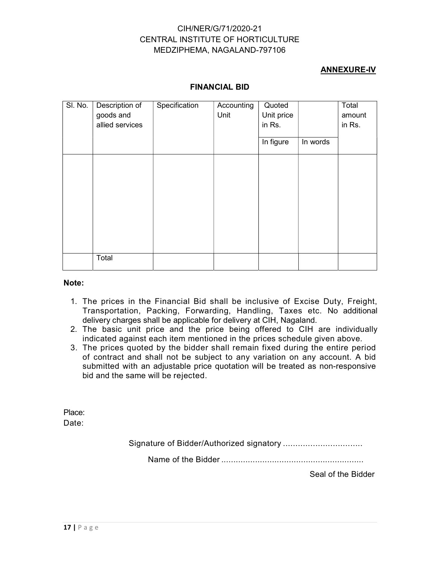#### ANNEXURE-IV

| SI. No. | Description of<br>goods and<br>allied services | Specification | Accounting<br>Unit | Quoted<br>Unit price<br>in Rs. |          | Total<br>amount<br>in Rs. |
|---------|------------------------------------------------|---------------|--------------------|--------------------------------|----------|---------------------------|
|         |                                                |               |                    | In figure                      | In words |                           |
|         |                                                |               |                    |                                |          |                           |
|         |                                                |               |                    |                                |          |                           |
|         |                                                |               |                    |                                |          |                           |
|         |                                                |               |                    |                                |          |                           |
|         |                                                |               |                    |                                |          |                           |
|         | Total                                          |               |                    |                                |          |                           |

#### FINANCIAL BID

#### Note:

- 1. The prices in the Financial Bid shall be inclusive of Excise Duty, Freight, Transportation, Packing, Forwarding, Handling, Taxes etc. No additional delivery charges shall be applicable for delivery at CIH, Nagaland.
- 2. The basic unit price and the price being offered to CIH are individually indicated against each item mentioned in the prices schedule given above.
- 3. The prices quoted by the bidder shall remain fixed during the entire period of contract and shall not be subject to any variation on any account. A bid submitted with an adjustable price quotation will be treated as non-responsive bid and the same will be rejected.

Place:

Date:

Signature of Bidder/Authorized signatory ................................

Name of the Bidder ...........................................................

Seal of the Bidder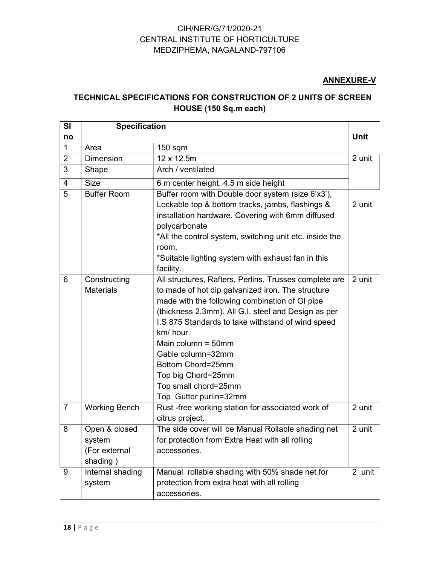#### ANNEXURE-V

# TECHNICAL SPECIFICATIONS FOR CONSTRUCTION OF 2 UNITS OF SCREEN HOUSE (150 Sq.m each)

| <b>SI</b>      | <b>Specification</b>                                 |                                                                                                                                                                                                                                                                                                                                                                                                                                   |             |
|----------------|------------------------------------------------------|-----------------------------------------------------------------------------------------------------------------------------------------------------------------------------------------------------------------------------------------------------------------------------------------------------------------------------------------------------------------------------------------------------------------------------------|-------------|
| no             |                                                      |                                                                                                                                                                                                                                                                                                                                                                                                                                   | <b>Unit</b> |
| $\mathbf 1$    | Area                                                 | $150$ sqm                                                                                                                                                                                                                                                                                                                                                                                                                         |             |
| $\overline{2}$ | <b>Dimension</b>                                     | 12 x 12.5m                                                                                                                                                                                                                                                                                                                                                                                                                        | 2 unit      |
| 3              | Shape                                                | Arch / ventilated                                                                                                                                                                                                                                                                                                                                                                                                                 |             |
| $\overline{4}$ | <b>Size</b>                                          | 6 m center height, 4.5 m side height                                                                                                                                                                                                                                                                                                                                                                                              |             |
| 5              | <b>Buffer Room</b>                                   | Buffer room with Double door system (size 6'x3'),<br>Lockable top & bottom tracks, jambs, flashings &<br>installation hardware. Covering with 6mm diffused<br>polycarbonate<br>*All the control system, switching unit etc. inside the<br>room.<br>*Suitable lighting system with exhaust fan in this                                                                                                                             | 2 unit      |
|                |                                                      | facility.                                                                                                                                                                                                                                                                                                                                                                                                                         |             |
| 6              | Constructing<br><b>Materials</b>                     | All structures, Rafters, Perlins, Trusses complete are<br>to made of hot dip galvanized iron. The structure<br>made with the following combination of GI pipe<br>(thickness 2.3mm). All G.I. steel and Design as per<br>I.S 875 Standards to take withstand of wind speed<br>km/ hour.<br>Main column = $50$ mm<br>Gable column=32mm<br>Bottom Chord=25mm<br>Top big Chord=25mm<br>Top small chord=25mm<br>Top Gutter purlin=32mm | 2 unit      |
| $\overline{7}$ | <b>Working Bench</b>                                 | Rust-free working station for associated work of<br>citrus project.                                                                                                                                                                                                                                                                                                                                                               | 2 unit      |
| 8              | Open & closed<br>system<br>(For external<br>shading) | The side cover will be Manual Rollable shading net<br>for protection from Extra Heat with all rolling<br>accessories.                                                                                                                                                                                                                                                                                                             | 2 unit      |
| 9              | Internal shading<br>system                           | Manual rollable shading with 50% shade net for<br>protection from extra heat with all rolling<br>accessories.                                                                                                                                                                                                                                                                                                                     | 2 unit      |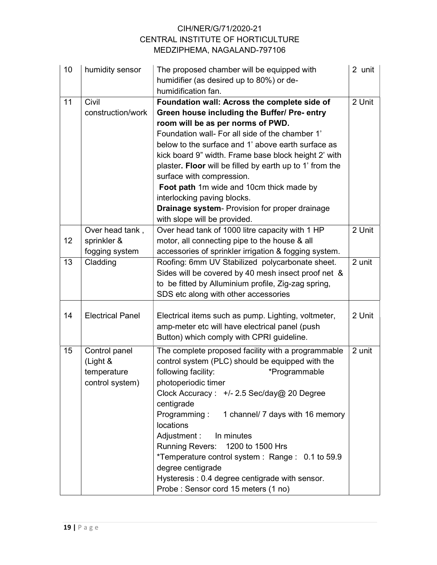| 10 | humidity sensor                                             | The proposed chamber will be equipped with<br>humidifier (as desired up to 80%) or de-<br>humidification fan.                                                                                                                                                                                                                                                                                                                                                                                                                                                   | 2 unit |
|----|-------------------------------------------------------------|-----------------------------------------------------------------------------------------------------------------------------------------------------------------------------------------------------------------------------------------------------------------------------------------------------------------------------------------------------------------------------------------------------------------------------------------------------------------------------------------------------------------------------------------------------------------|--------|
| 11 | Civil<br>construction/work                                  | Foundation wall: Across the complete side of<br>Green house including the Buffer/ Pre- entry<br>room will be as per norms of PWD.<br>Foundation wall- For all side of the chamber 1'<br>below to the surface and 1' above earth surface as<br>kick board 9" width. Frame base block height 2' with<br>plaster. Floor will be filled by earth up to 1' from the<br>surface with compression.<br>Foot path 1m wide and 10cm thick made by<br>interlocking paving blocks.<br><b>Drainage system- Provision for proper drainage</b><br>with slope will be provided. | 2 Unit |
| 12 | Over head tank,<br>sprinkler &<br>fogging system            | Over head tank of 1000 litre capacity with 1 HP<br>motor, all connecting pipe to the house & all<br>accessories of sprinkler irrigation & fogging system.                                                                                                                                                                                                                                                                                                                                                                                                       | 2 Unit |
| 13 | Cladding                                                    | Roofing: 6mm UV Stabilized polycarbonate sheet.<br>Sides will be covered by 40 mesh insect proof net &<br>to be fitted by Alluminium profile, Zig-zag spring,<br>SDS etc along with other accessories                                                                                                                                                                                                                                                                                                                                                           | 2 unit |
| 14 | <b>Electrical Panel</b>                                     | Electrical items such as pump. Lighting, voltmeter,<br>amp-meter etc will have electrical panel (push<br>Button) which comply with CPRI guideline.                                                                                                                                                                                                                                                                                                                                                                                                              | 2 Unit |
| 15 | Control panel<br>(Light &<br>temperature<br>control system) | The complete proposed facility with a programmable<br>control system (PLC) should be equipped with the<br>following facility:<br>*Programmable<br>photoperiodic timer<br>Clock Accuracy : +/- 2.5 Sec/day@ 20 Degree<br>centigrade<br>Programming:<br>1 channel/ 7 days with 16 memory<br>locations<br>Adjustment:<br>In minutes<br><b>Running Revers:</b><br>1200 to 1500 Hrs<br>*Temperature control system : Range : 0.1 to 59.9<br>degree centigrade<br>Hysteresis: 0.4 degree centigrade with sensor.<br>Probe: Sensor cord 15 meters (1 no)               | 2 unit |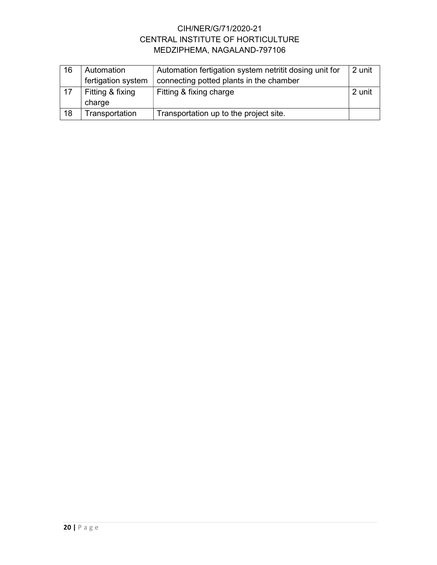| 16 | Automation         | Automation fertigation system netritit dosing unit for | 2 unit |
|----|--------------------|--------------------------------------------------------|--------|
|    | fertigation system | connecting potted plants in the chamber                |        |
| 17 | Fitting & fixing   | Fitting & fixing charge                                | 2 unit |
|    | charge             |                                                        |        |
| 18 | Transportation     | Transportation up to the project site.                 |        |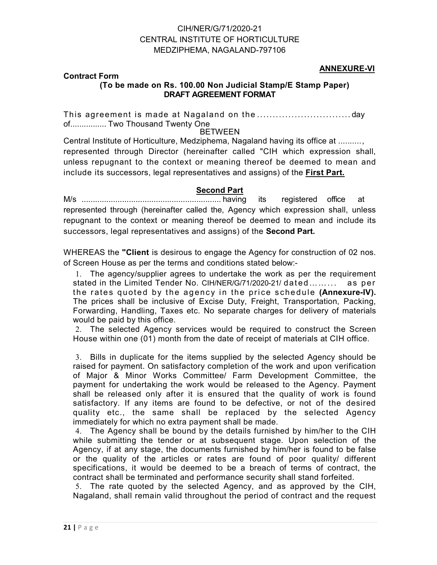#### ANNEXURE-VI

#### Contract Form (To be made on Rs. 100.00 Non Judicial Stamp/E Stamp Paper) DRAFT AGREEMENT FORMAT

This agreement is made at Nagaland on the .............................. day of................. Two Thousand Twenty One

#### BETWEEN

Central Institute of Horticulture, Medziphema, Nagaland having its office at .......... , represented through Director (hereinafter called "CIH which expression shall, unless repugnant to the context or meaning thereof be deemed to mean and include its successors, legal representatives and assigns) of the First Part.

#### Second Part

M/s .............................................................. having its registered office at represented through (hereinafter called the, Agency which expression shall, unless repugnant to the context or meaning thereof be deemed to mean and include its successors, legal representatives and assigns) of the **Second Part.** 

WHEREAS the "Client is desirous to engage the Agency for construction of 02 nos. of Screen House as per the terms and conditions stated below:-

1. The agency/supplier agrees to undertake the work as per the requirement stated in the Limited Tender No. CIH/NER/G/71/2020-21/ dated ........ as per the rates quoted by the agency in the price schedule (Annexure-IV). The prices shall be inclusive of Excise Duty, Freight, Transportation, Packing, Forwarding, Handling, Taxes etc. No separate charges for delivery of materials would be paid by this office.

2. The selected Agency services would be required to construct the Screen House within one (01) month from the date of receipt of materials at CIH office.

3. Bills in duplicate for the items supplied by the selected Agency should be raised for payment. On satisfactory completion of the work and upon verification of Major & Minor Works Committee/ Farm Development Committee, the payment for undertaking the work would be released to the Agency. Payment shall be released only after it is ensured that the quality of work is found satisfactory. If any items are found to be defective, or not of the desired quality etc., the same shall be replaced by the selected Agency immediately for which no extra payment shall be made.

4. The Agency shall be bound by the details furnished by him/her to the CIH while submitting the tender or at subsequent stage. Upon selection of the Agency, if at any stage, the documents furnished by him/her is found to be false or the quality of the articles or rates are found of poor quality/ different specifications, it would be deemed to be a breach of terms of contract, the contract shall be terminated and performance security shall stand forfeited.

5. The rate quoted by the selected Agency, and as approved by the CIH, Nagaland, shall remain valid throughout the period of contract and the request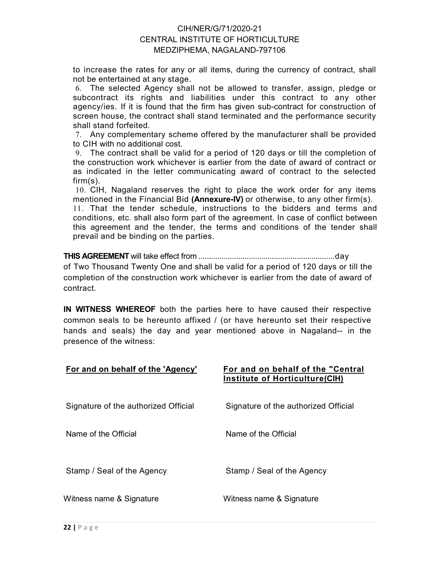to increase the rates for any or all items, during the currency of contract, shall not be entertained at any stage.

6. The selected Agency shall not be allowed to transfer, assign, pledge or subcontract its rights and liabilities under this contract to any other agency/ies. If it is found that the firm has given sub-contract for construction of screen house, the contract shall stand terminated and the performance security shall stand forfeited.

7. Any complementary scheme offered by the manufacturer shall be provided to CIH with no additional cost.

9. The contract shall be valid for a period of 120 days or till the completion of the construction work whichever is earlier from the date of award of contract or as indicated in the letter communicating award of contract to the selected firm(s).

10. CIH, Nagaland reserves the right to place the work order for any items mentioned in the Financial Bid (Annexure-IV) or otherwise, to any other firm(s).

11. That the tender schedule, instructions to the bidders and terms and conditions, etc. shall also form part of the agreement. In case of conflict between this agreement and the tender, the terms and conditions of the tender shall prevail and be binding on the parties.

THIS AGREEMENT will take effect from ................................................................. day of Two Thousand Twenty One and shall be valid for a period of 120 days or till the completion of the construction work whichever is earlier from the date of award of contract.

IN WITNESS WHEREOF both the parties here to have caused their respective common seals to be hereunto affixed / (or have hereunto set their respective hands and seals) the day and year mentioned above in Nagaland-- in the presence of the witness:

| For and on behalf of the 'Agency'    | For and on behalf of the "Central<br>Institute of Horticulture(CIH) |
|--------------------------------------|---------------------------------------------------------------------|
| Signature of the authorized Official | Signature of the authorized Official                                |
| Name of the Official                 | Name of the Official                                                |
| Stamp / Seal of the Agency           | Stamp / Seal of the Agency                                          |
| Witness name & Signature             | Witness name & Signature                                            |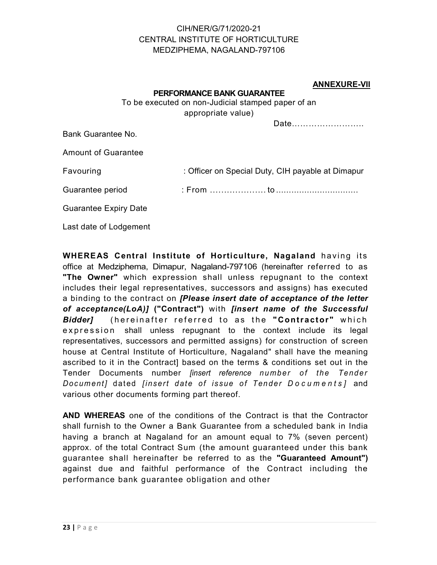#### ANNEXURE-VII

#### PERFORMANCE BANK GUARANTEE

To be executed on non-Judicial stamped paper of an appropriate value)

Date……………………..

Bank Guarantee No.

Amount of Guarantee

Favouring **Example 20** : Officer on Special Duty, CIH payable at Dimapur

Guarantee period : From .................... to ................................

Guarantee Expiry Date

Last date of Lodgement

WHEREAS Central Institute of Horticulture, Nagaland having its office at Medziphema, Dimapur, Nagaland-797106 (hereinafter referred to as "The Owner" which expression shall unless repugnant to the context includes their legal representatives, successors and assigns) has executed a binding to the contract on *[Please insert date of acceptance of the letter* of acceptance(LoA)] ("Contract") with [insert name of the Successful Bidder] (hereinafter referred to as the "Contractor" which expression shall unless repugnant to the context include its legal representatives, successors and permitted assigns) for construction of screen house at Central Institute of Horticulture, Nagaland" shall have the meaning ascribed to it in the Contract] based on the terms & conditions set out in the Guarantee period<br>
Cuarantee Expiry Date<br>
Last date of Lodgement<br>
Last date of Lodgement<br>
MHEREAS Central Institute of Horticulture, Nagaland having its<br>
office at Medziphema, Dimapur, Nagaland-797106 (hereinator referred t Guarantee Expiry Date<br>
Last date of Lodgement<br>
Last date of Lodgement<br>
WHEREAS Central Institute of Horticulture, Nagaland having its<br>
office at Medziphema, Dimapur, Nagaland-797106 (hereinafter referred to as<br>
"The Owner" various other documents forming part thereof.

AND WHEREAS one of the conditions of the Contract is that the Contractor shall furnish to the Owner a Bank Guarantee from a scheduled bank in India having a branch at Nagaland for an amount equal to 7% (seven percent) approx. of the total Contract Sum (the amount guaranteed under this bank guarantee shall hereinafter be referred to as the "Guaranteed Amount") against due and faithful performance of the Contract including the performance bank guarantee obligation and other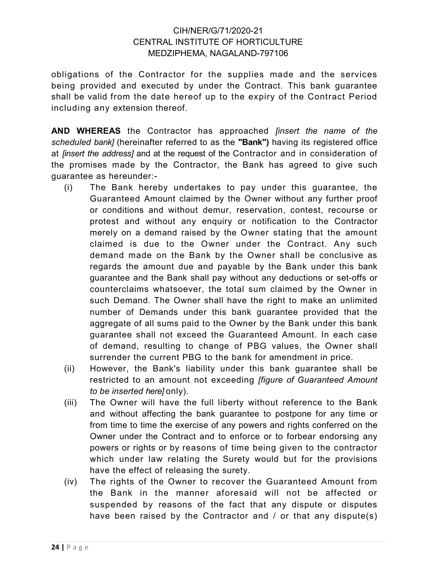obligations of the Contractor for the supplies made and the services being provided and executed by under the Contract. This bank guarantee shall be valid from the date hereof up to the expiry of the Contract Period including any extension thereof.

AND WHEREAS the Contractor has approached *[insert the name of the* scheduled bank] (hereinafter referred to as the "Bank") having its registered office at [insert the address] and at the request of the Contractor and in consideration of the promises made by the Contractor, the Bank has agreed to give such guarantee as hereunder:-

- (i) The Bank hereby undertakes to pay under this guarantee, the Guaranteed Amount claimed by the Owner without any further proof or conditions and without demur, reservation, contest, recourse or protest and without any enquiry or notification to the Contractor merely on a demand raised by the Owner stating that the amount claimed is due to the Owner under the Contract. Any such demand made on the Bank by the Owner shall be conclusive as regards the amount due and payable by the Bank under this bank guarantee and the Bank shall pay without any deductions or set-offs or counterclaims whatsoever, the total sum claimed by the Owner in such Demand. The Owner shall have the right to make an unlimited number of Demands under this bank guarantee provided that the aggregate of all sums paid to the Owner by the Bank under this bank guarantee shall not exceed the Guaranteed Amount. In each case of demand, resulting to change of PBG values, the Owner shall surrender the current PBG to the bank for amendment in price.
- (ii) However, the Bank's liability under this bank guarantee shall be restricted to an amount not exceeding *[figure of Guaranteed Amount* to be inserted here] only).
- (iii) The Owner will have the full liberty without reference to the Bank and without affecting the bank guarantee to postpone for any time or from time to time the exercise of any powers and rights conferred on the Owner under the Contract and to enforce or to forbear endorsing any powers or rights or by reasons of time being given to the contractor which under law relating the Surety would but for the provisions have the effect of releasing the surety.
- (iv) The rights of the Owner to recover the Guaranteed Amount from the Bank in the manner aforesaid will not be affected or suspended by reasons of the fact that any dispute or disputes have been raised by the Contractor and / or that any dispute(s)